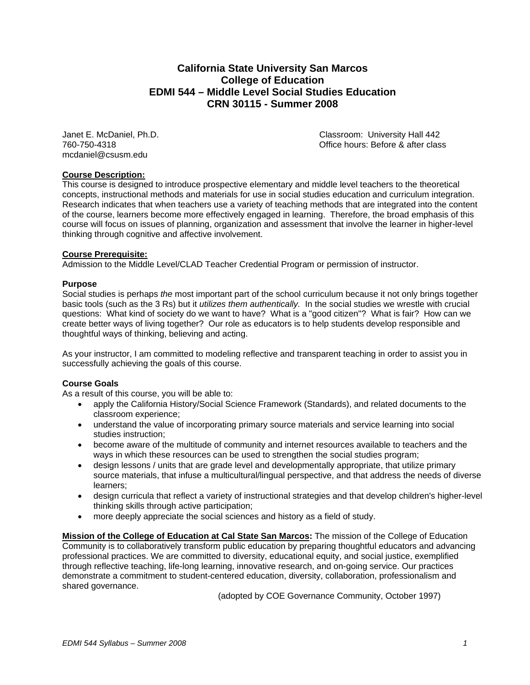## **California State University San Marcos College of Education EDMI 544 – Middle Level Social Studies Education CRN 30115 - Summer 2008**

mcdaniel@csusm.edu

Janet E. McDaniel, Ph.D. Classroom: University Hall 442 760-750-4318 Office hours: Before & after class

### **Course Description:**

This course is designed to introduce prospective elementary and middle level teachers to the theoretical concepts, instructional methods and materials for use in social studies education and curriculum integration. Research indicates that when teachers use a variety of teaching methods that are integrated into the content of the course, learners become more effectively engaged in learning. Therefore, the broad emphasis of this course will focus on issues of planning, organization and assessment that involve the learner in higher-level thinking through cognitive and affective involvement.

### **Course Prerequisite:**

Admission to the Middle Level/CLAD Teacher Credential Program or permission of instructor.

### **Purpose**

Social studies is perhaps *the* most important part of the school curriculum because it not only brings together basic tools (such as the 3 Rs) but it *utilizes them authentically.* In the social studies we wrestle with crucial questions: What kind of society do we want to have? What is a "good citizen"? What is fair? How can we create better ways of living together? Our role as educators is to help students develop responsible and thoughtful ways of thinking, believing and acting.

As your instructor, I am committed to modeling reflective and transparent teaching in order to assist you in successfully achieving the goals of this course.

### **Course Goals**

As a result of this course, you will be able to:

- apply the California History/Social Science Framework (Standards), and related documents to the classroom experience;
- understand the value of incorporating primary source materials and service learning into social studies instruction;
- become aware of the multitude of community and internet resources available to teachers and the ways in which these resources can be used to strengthen the social studies program;
- design lessons / units that are grade level and developmentally appropriate, that utilize primary source materials, that infuse a multicultural/lingual perspective, and that address the needs of diverse learners;
- design curricula that reflect a variety of instructional strategies and that develop children's higher-level thinking skills through active participation;
- more deeply appreciate the social sciences and history as a field of study.

**Mission of the College of Education at Cal State San Marcos:** The mission of the College of Education Community is to collaboratively transform public education by preparing thoughtful educators and advancing professional practices. We are committed to diversity, educational equity, and social justice, exemplified through reflective teaching, life-long learning, innovative research, and on-going service. Our practices demonstrate a commitment to student-centered education, diversity, collaboration, professionalism and shared governance.

(adopted by COE Governance Community, October 1997)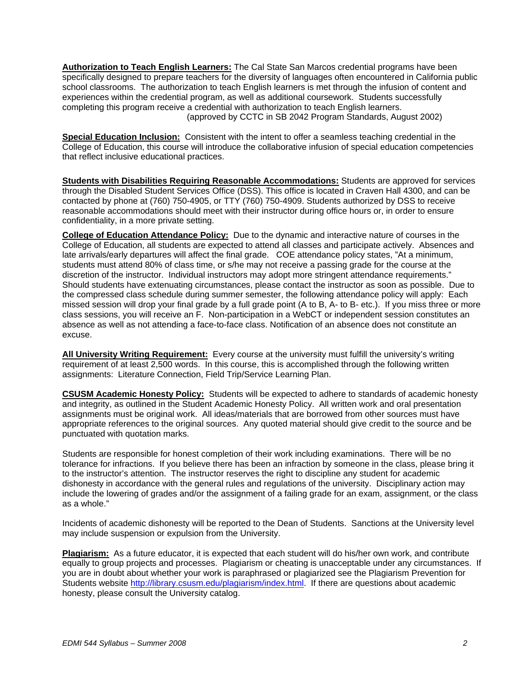**Authorization to Teach English Learners:** The Cal State San Marcos credential programs have been specifically designed to prepare teachers for the diversity of languages often encountered in California public school classrooms. The authorization to teach English learners is met through the infusion of content and experiences within the credential program, as well as additional coursework. Students successfully completing this program receive a credential with authorization to teach English learners. (approved by CCTC in SB 2042 Program Standards, August 2002)

**Special Education Inclusion:** Consistent with the intent to offer a seamless teaching credential in the College of Education, this course will introduce the collaborative infusion of special education competencies that reflect inclusive educational practices.

**Students with Disabilities Requiring Reasonable Accommodations:** Students are approved for services through the Disabled Student Services Office (DSS). This office is located in Craven Hall 4300, and can be contacted by phone at (760) 750-4905, or TTY (760) 750-4909. Students authorized by DSS to receive reasonable accommodations should meet with their instructor during office hours or, in order to ensure confidentiality, in a more private setting.

**College of Education Attendance Policy:** Due to the dynamic and interactive nature of courses in the College of Education, all students are expected to attend all classes and participate actively. Absences and late arrivals/early departures will affect the final grade. COE attendance policy states, "At a minimum, students must attend 80% of class time, or s/he may not receive a passing grade for the course at the discretion of the instructor. Individual instructors may adopt more stringent attendance requirements." Should students have extenuating circumstances, please contact the instructor as soon as possible. Due to the compressed class schedule during summer semester, the following attendance policy will apply: Each missed session will drop your final grade by a full grade point (A to B, A- to B- etc.). If you miss three or more class sessions, you will receive an F. Non-participation in a WebCT or independent session constitutes an absence as well as not attending a face-to-face class. Notification of an absence does not constitute an excuse.

**All University Writing Requirement:** Every course at the university must fulfill the university's writing requirement of at least 2,500 words. In this course, this is accomplished through the following written assignments: Literature Connection, Field Trip/Service Learning Plan.

**CSUSM Academic Honesty Policy:** Students will be expected to adhere to standards of academic honesty and integrity, as outlined in the Student Academic Honesty Policy. All written work and oral presentation assignments must be original work. All ideas/materials that are borrowed from other sources must have appropriate references to the original sources. Any quoted material should give credit to the source and be punctuated with quotation marks.

Students are responsible for honest completion of their work including examinations. There will be no tolerance for infractions. If you believe there has been an infraction by someone in the class, please bring it to the instructor's attention. The instructor reserves the right to discipline any student for academic dishonesty in accordance with the general rules and regulations of the university. Disciplinary action may include the lowering of grades and/or the assignment of a failing grade for an exam, assignment, or the class as a whole."

Incidents of academic dishonesty will be reported to the Dean of Students. Sanctions at the University level may include suspension or expulsion from the University.

**Plagiarism:** As a future educator, it is expected that each student will do his/her own work, and contribute equally to group projects and processes. Plagiarism or cheating is unacceptable under any circumstances. If you are in doubt about whether your work is paraphrased or plagiarized see the Plagiarism Prevention for Students website http://library.csusm.edu/plagiarism/index.html. If there are questions about academic honesty, please consult the University catalog.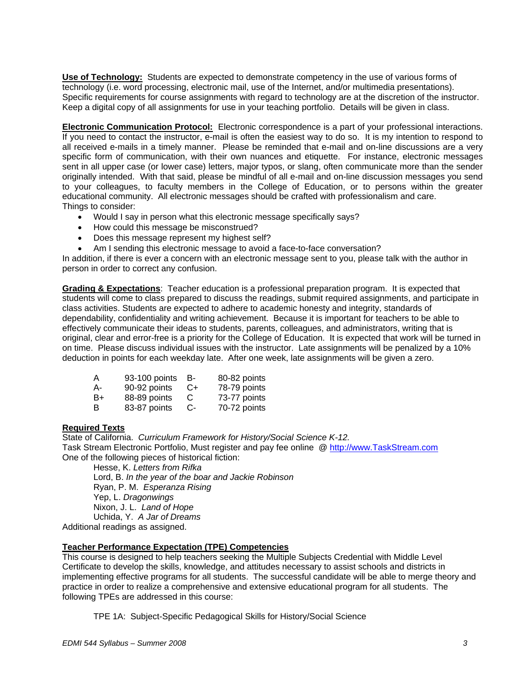**Use of Technology:** Students are expected to demonstrate competency in the use of various forms of technology (i.e. word processing, electronic mail, use of the Internet, and/or multimedia presentations). Specific requirements for course assignments with regard to technology are at the discretion of the instructor. Keep a digital copy of all assignments for use in your teaching portfolio. Details will be given in class.

**Electronic Communication Protocol:** Electronic correspondence is a part of your professional interactions. If you need to contact the instructor, e-mail is often the easiest way to do so. It is my intention to respond to all received e-mails in a timely manner. Please be reminded that e-mail and on-line discussions are a very specific form of communication, with their own nuances and etiquette. For instance, electronic messages sent in all upper case (or lower case) letters, major typos, or slang, often communicate more than the sender originally intended. With that said, please be mindful of all e-mail and on-line discussion messages you send to your colleagues, to faculty members in the College of Education, or to persons within the greater educational community. All electronic messages should be crafted with professionalism and care. Things to consider:

- Would I say in person what this electronic message specifically says?
- How could this message be misconstrued?
- Does this message represent my highest self?
- Am I sending this electronic message to avoid a face-to-face conversation?

In addition, if there is ever a concern with an electronic message sent to you, please talk with the author in person in order to correct any confusion.

**Grading & Expectations**: Teacher education is a professional preparation program. It is expected that students will come to class prepared to discuss the readings, submit required assignments, and participate in class activities. Students are expected to adhere to academic honesty and integrity, standards of dependability, confidentiality and writing achievement. Because it is important for teachers to be able to effectively communicate their ideas to students, parents, colleagues, and administrators, writing that is original, clear and error-free is a priority for the College of Education. It is expected that work will be turned in on time. Please discuss individual issues with the instructor. Late assignments will be penalized by a 10% deduction in points for each weekday late. After one week, late assignments will be given a zero.

| $\overline{A}$ | 93-100 points B- |      | 80-82 points |
|----------------|------------------|------|--------------|
| A-             | 90-92 points     | -C+  | 78-79 points |
| B+             | 88-89 points     | C.   | 73-77 points |
| в              | 83-87 points     | -C + | 70-72 points |

### **Required Texts**

State of California. *Curriculum Framework for History/Social Science K-12.*  Task Stream Electronic Portfolio, Must register and pay fee online @ http://www.TaskStream.com One of the following pieces of historical fiction:

Hesse, K. *Letters from Rifka* Lord, B. *In the year of the boar and Jackie Robinson*  Ryan, P. M. *Esperanza Rising* Yep, L. *Dragonwings* Nixon, J. L. *Land of Hope* Uchida, Y. *A Jar of Dreams* Additional readings as assigned.

### **Teacher Performance Expectation (TPE) Competencies**

This course is designed to help teachers seeking the Multiple Subjects Credential with Middle Level Certificate to develop the skills, knowledge, and attitudes necessary to assist schools and districts in implementing effective programs for all students. The successful candidate will be able to merge theory and practice in order to realize a comprehensive and extensive educational program for all students. The following TPEs are addressed in this course:

TPE 1A: Subject-Specific Pedagogical Skills for History/Social Science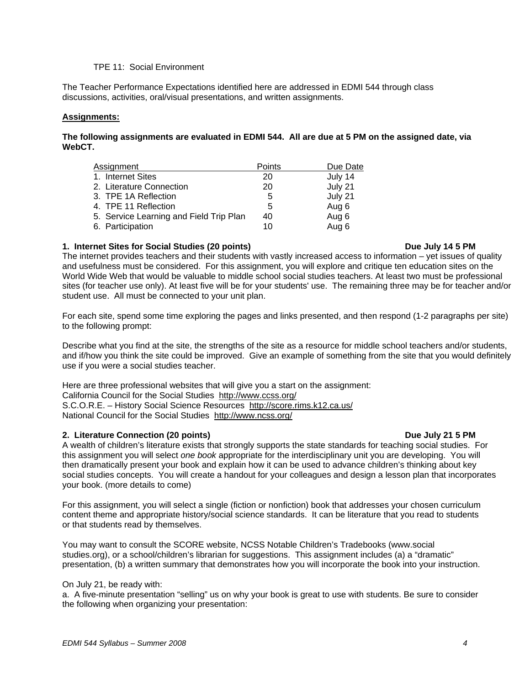### TPE 11: Social Environment

The Teacher Performance Expectations identified here are addressed in EDMI 544 through class discussions, activities, oral/visual presentations, and written assignments.

### **Assignments:**

### **The following assignments are evaluated in EDMI 544. All are due at 5 PM on the assigned date, via WebCT.**

| Assignment                              | Points | Due Date |
|-----------------------------------------|--------|----------|
| 1. Internet Sites                       | 20     | July 14  |
| 2. Literature Connection                | 20     | July 21  |
| 3. TPE 1A Reflection                    | 5      | July 21  |
| 4. TPE 11 Reflection                    | 5      | Aug 6    |
| 5. Service Learning and Field Trip Plan | 40     | Aug 6    |
| 6. Participation                        | 10     | Aug 6    |

### 1. Internet Sites for Social Studies (20 points) **Due July 14 5 PM**

The internet provides teachers and their students with vastly increased access to information – yet issues of quality and usefulness must be considered. For this assignment, you will explore and critique ten education sites on the World Wide Web that would be valuable to middle school social studies teachers. At least two must be professional sites (for teacher use only). At least five will be for your students' use. The remaining three may be for teacher and/or student use. All must be connected to your unit plan.

For each site, spend some time exploring the pages and links presented, and then respond (1-2 paragraphs per site) to the following prompt:

Describe what you find at the site, the strengths of the site as a resource for middle school teachers and/or students, and if/how you think the site could be improved. Give an example of something from the site that you would definitely use if you were a social studies teacher.

Here are three professional websites that will give you a start on the assignment: California Council for the Social Studies http://www.ccss.org/ S.C.O.R.E. – History Social Science Resources http://score.rims.k12.ca.us/ National Council for the Social Studies http://www.ncss.org/

### **2. Literature Connection (20 points) Due July 21 5 PM Due July 21 5 PM**

### A wealth of children's literature exists that strongly supports the state standards for teaching social studies. For this assignment you will select *one book* appropriate for the interdisciplinary unit you are developing. You will then dramatically present your book and explain how it can be used to advance children's thinking about key social studies concepts. You will create a handout for your colleagues and design a lesson plan that incorporates your book. (more details to come)

For this assignment, you will select a single (fiction or nonfiction) book that addresses your chosen curriculum content theme and appropriate history/social science standards. It can be literature that you read to students or that students read by themselves.

You may want to consult the SCORE website, NCSS Notable Children's Tradebooks (www.social studies.org), or a school/children's librarian for suggestions. This assignment includes (a) a "dramatic" presentation, (b) a written summary that demonstrates how you will incorporate the book into your instruction.

### On July 21, be ready with:

a. A five-minute presentation "selling" us on why your book is great to use with students. Be sure to consider the following when organizing your presentation: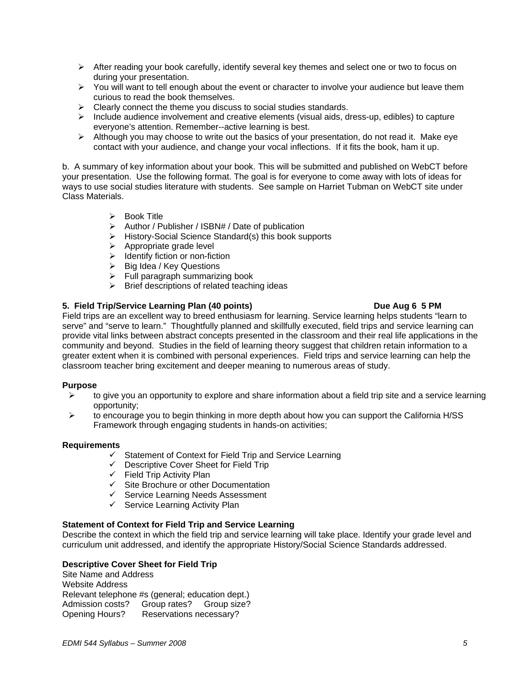- $\triangleright$  After reading your book carefully, identify several key themes and select one or two to focus on during your presentation.
- $\triangleright$  You will want to tell enough about the event or character to involve your audience but leave them curious to read the book themselves.
- $\triangleright$  Clearly connect the theme you discuss to social studies standards.
- $\triangleright$  Include audience involvement and creative elements (visual aids, dress-up, edibles) to capture everyone's attention. Remember--active learning is best.
- $\triangleright$  Although you may choose to write out the basics of your presentation, do not read it. Make eye contact with your audience, and change your vocal inflections. If it fits the book, ham it up.

b. A summary of key information about your book. This will be submitted and published on WebCT before your presentation. Use the following format. The goal is for everyone to come away with lots of ideas for ways to use social studies literature with students. See sample on Harriet Tubman on WebCT site under Class Materials.

- $\triangleright$  Book Title
- $\triangleright$  Author / Publisher / ISBN# / Date of publication
- ¾ History-Social Science Standard(s) this book supports
- $\triangleright$  Appropriate grade level
- $\triangleright$  Identify fiction or non-fiction
- $\triangleright$  Big Idea / Key Questions
- $\triangleright$  Full paragraph summarizing book
- $\triangleright$  Brief descriptions of related teaching ideas

### **5. Field Trip/Service Learning Plan (40 points) Due Aug 6 5 PM**

Field trips are an excellent way to breed enthusiasm for learning. Service learning helps students "learn to serve" and "serve to learn." Thoughtfully planned and skillfully executed, field trips and service learning can provide vital links between abstract concepts presented in the classroom and their real life applications in the community and beyond. Studies in the field of learning theory suggest that children retain information to a greater extent when it is combined with personal experiences. Field trips and service learning can help the classroom teacher bring excitement and deeper meaning to numerous areas of study.

### **Purpose**

- ¾ to give you an opportunity to explore and share information about a field trip site and a service learning opportunity;
- $\triangleright$  to encourage you to begin thinking in more depth about how you can support the California H/SS Framework through engaging students in hands-on activities;

### **Requirements**

- $\checkmark$  Statement of Context for Field Trip and Service Learning
- $\checkmark$  Descriptive Cover Sheet for Field Trip
- $\checkmark$  Field Trip Activity Plan
- $\checkmark$  Site Brochure or other Documentation
- $\checkmark$  Service Learning Needs Assessment
- $\checkmark$  Service Learning Activity Plan

### **Statement of Context for Field Trip and Service Learning**

Describe the context in which the field trip and service learning will take place. Identify your grade level and curriculum unit addressed, and identify the appropriate History/Social Science Standards addressed.

### **Descriptive Cover Sheet for Field Trip**

Site Name and Address Website Address Relevant telephone #s (general; education dept.) Admission costs? Group rates? Group size? Opening Hours? Reservations necessary?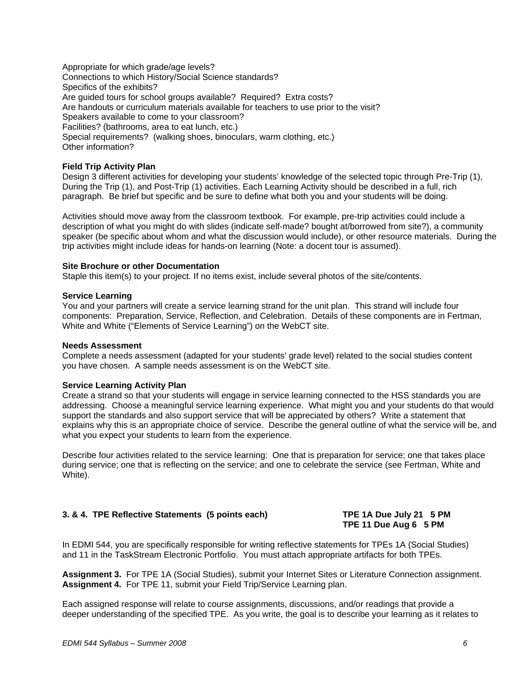Appropriate for which grade/age levels? Connections to which History/Social Science standards? Specifics of the exhibits? Are guided tours for school groups available? Required? Extra costs? Are handouts or curriculum materials available for teachers to use prior to the visit? Speakers available to come to your classroom? Facilities? (bathrooms, area to eat lunch, etc.) Special requirements? (walking shoes, binoculars, warm clothing, etc.) Other information?

### **Field Trip Activity Plan**

Design 3 different activities for developing your students' knowledge of the selected topic through Pre-Trip (1), During the Trip (1), and Post-Trip (1) activities. Each Learning Activity should be described in a full, rich paragraph. Be brief but specific and be sure to define what both you and your students will be doing.

Activities should move away from the classroom textbook. For example, pre-trip activities could include a description of what you might do with slides (indicate self-made? bought at/borrowed from site?), a community speaker (be specific about whom and what the discussion would include), or other resource materials. During the trip activities might include ideas for hands-on learning (Note: a docent tour is assumed).

### **Site Brochure or other Documentation**

Staple this item(s) to your project. If no items exist, include several photos of the site/contents.

### **Service Learning**

You and your partners will create a service learning strand for the unit plan. This strand will include four components: Preparation, Service, Reflection, and Celebration. Details of these components are in Fertman, White and White ("Elements of Service Learning") on the WebCT site.

### **Needs Assessment**

Complete a needs assessment (adapted for your students' grade level) related to the social studies content you have chosen. A sample needs assessment is on the WebCT site.

### **Service Learning Activity Plan**

Create a strand so that your students will engage in service learning connected to the HSS standards you are addressing. Choose a meaningful service learning experience. What might you and your students do that would support the standards and also support service that will be appreciated by others? Write a statement that explains why this is an appropriate choice of service. Describe the general outline of what the service will be, and what you expect your students to learn from the experience.

Describe four activities related to the service learning: One that is preparation for service; one that takes place during service; one that is reflecting on the service; and one to celebrate the service (see Fertman, White and White).

### **3. & 4. TPE Reflective Statements (5 points each) TPE 1A Due July 21 5 PM**

# **TPE 11 Due Aug 6 5 PM**

In EDMI 544, you are specifically responsible for writing reflective statements for TPEs 1A (Social Studies) and 11 in the TaskStream Electronic Portfolio. You must attach appropriate artifacts for both TPEs.

**Assignment 3.** For TPE 1A (Social Studies), submit your Internet Sites or Literature Connection assignment. **Assignment 4.** For TPE 11, submit your Field Trip/Service Learning plan.

Each assigned response will relate to course assignments, discussions, and/or readings that provide a deeper understanding of the specified TPE. As you write, the goal is to describe your learning as it relates to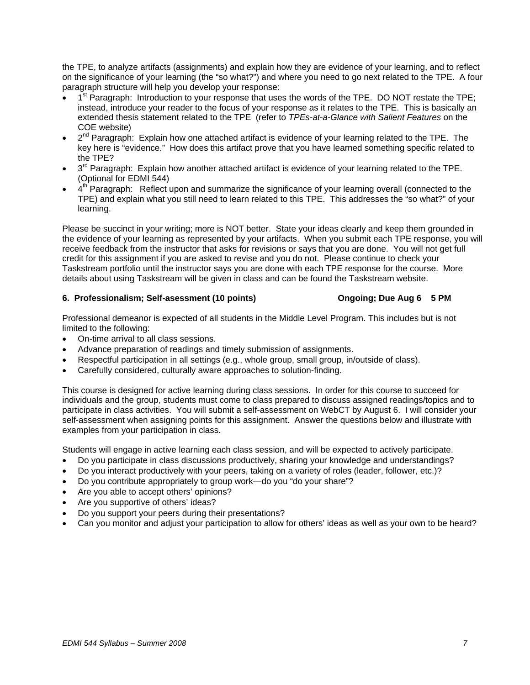the TPE, to analyze artifacts (assignments) and explain how they are evidence of your learning, and to reflect on the significance of your learning (the "so what?") and where you need to go next related to the TPE. A four paragraph structure will help you develop your response:

- 1<sup>st</sup> Paragraph: Introduction to your response that uses the words of the TPE. DO NOT restate the TPE; instead, introduce your reader to the focus of your response as it relates to the TPE. This is basically an extended thesis statement related to the TPE (refer to *TPEs-at-a-Glance with Salient Features* on the COE website)
- $2^{nd}$  Paragraph: Explain how one attached artifact is evidence of your learning related to the TPE. The key here is "evidence." How does this artifact prove that you have learned something specific related to the TPE?
- $3<sup>rd</sup>$  Paragraph: Explain how another attached artifact is evidence of your learning related to the TPE. (Optional for EDMI 544)
- $4<sup>th</sup>$  Paragraph: Reflect upon and summarize the significance of your learning overall (connected to the TPE) and explain what you still need to learn related to this TPE. This addresses the "so what?" of your learning.

Please be succinct in your writing; more is NOT better. State your ideas clearly and keep them grounded in the evidence of your learning as represented by your artifacts. When you submit each TPE response, you will receive feedback from the instructor that asks for revisions or says that you are done. You will not get full credit for this assignment if you are asked to revise and you do not. Please continue to check your Taskstream portfolio until the instructor says you are done with each TPE response for the course. More details about using Taskstream will be given in class and can be found the Taskstream website.

### **6. Professionalism; Self-asessment (10 points) Ongoing; Due Aug 6 5 PM**

Professional demeanor is expected of all students in the Middle Level Program. This includes but is not limited to the following:

- On-time arrival to all class sessions.
- Advance preparation of readings and timely submission of assignments.
- Respectful participation in all settings (e.g., whole group, small group, in/outside of class).
- Carefully considered, culturally aware approaches to solution-finding.

This course is designed for active learning during class sessions. In order for this course to succeed for individuals and the group, students must come to class prepared to discuss assigned readings/topics and to participate in class activities. You will submit a self-assessment on WebCT by August 6. I will consider your self-assessment when assigning points for this assignment. Answer the questions below and illustrate with examples from your participation in class.

Students will engage in active learning each class session, and will be expected to actively participate.

- Do you participate in class discussions productively, sharing your knowledge and understandings?
- Do you interact productively with your peers, taking on a variety of roles (leader, follower, etc.)?
- Do you contribute appropriately to group work—do you "do your share"?
- Are you able to accept others' opinions?
- Are you supportive of others' ideas?
- Do you support your peers during their presentations?
- Can you monitor and adjust your participation to allow for others' ideas as well as your own to be heard?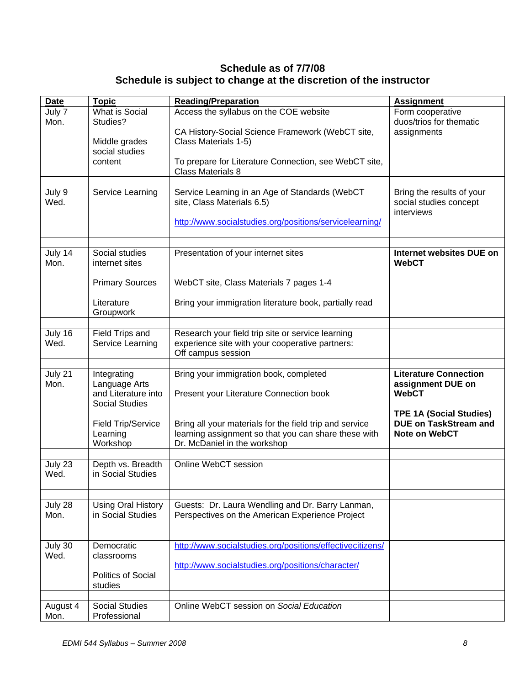# **Schedule as of 7/7/08 Schedule is subject to change at the discretion of the instructor**

| <b>Date</b>      | <b>Topic</b>                                                                 | <b>Reading/Preparation</b>                                                                                                 | <b>Assignment</b>                                                 |
|------------------|------------------------------------------------------------------------------|----------------------------------------------------------------------------------------------------------------------------|-------------------------------------------------------------------|
| July 7<br>Mon.   | What is Social<br>Studies?                                                   | Access the syllabus on the COE website                                                                                     | Form cooperative<br>duos/trios for thematic                       |
|                  | Middle grades<br>social studies                                              | CA History-Social Science Framework (WebCT site,<br>Class Materials 1-5)                                                   | assignments                                                       |
|                  | content                                                                      | To prepare for Literature Connection, see WebCT site,<br><b>Class Materials 8</b>                                          |                                                                   |
| July 9           | Service Learning                                                             | Service Learning in an Age of Standards (WebCT                                                                             | Bring the results of your                                         |
| Wed.             |                                                                              | site, Class Materials 6.5)                                                                                                 | social studies concept<br>interviews                              |
|                  |                                                                              | http://www.socialstudies.org/positions/servicelearning/                                                                    |                                                                   |
|                  |                                                                              |                                                                                                                            |                                                                   |
| July 14<br>Mon.  | Social studies<br>internet sites                                             | Presentation of your internet sites                                                                                        | Internet websites DUE on<br><b>WebCT</b>                          |
|                  | <b>Primary Sources</b>                                                       | WebCT site, Class Materials 7 pages 1-4                                                                                    |                                                                   |
|                  | Literature<br>Groupwork                                                      | Bring your immigration literature book, partially read                                                                     |                                                                   |
|                  |                                                                              |                                                                                                                            |                                                                   |
| July 16<br>Wed.  | Field Trips and<br>Service Learning                                          | Research your field trip site or service learning<br>experience site with your cooperative partners:<br>Off campus session |                                                                   |
|                  |                                                                              |                                                                                                                            |                                                                   |
| July 21<br>Mon.  | Integrating<br>Language Arts<br>and Literature into<br><b>Social Studies</b> | Bring your immigration book, completed<br>Present your Literature Connection book                                          | <b>Literature Connection</b><br>assignment DUE on<br><b>WebCT</b> |
|                  |                                                                              |                                                                                                                            | <b>TPE 1A (Social Studies)</b>                                    |
|                  | Field Trip/Service                                                           | Bring all your materials for the field trip and service                                                                    | <b>DUE on TaskStream and</b>                                      |
|                  | Learning<br>Workshop                                                         | learning assignment so that you can share these with<br>Dr. McDaniel in the workshop                                       | Note on WebCT                                                     |
|                  |                                                                              |                                                                                                                            |                                                                   |
| July 23<br>Wed.  | Depth vs. Breadth<br>in Social Studies                                       | Online WebCT session                                                                                                       |                                                                   |
|                  |                                                                              |                                                                                                                            |                                                                   |
| July 28<br>Mon.  | <b>Using Oral History</b><br>in Social Studies                               | Guests: Dr. Laura Wendling and Dr. Barry Lanman,<br>Perspectives on the American Experience Project                        |                                                                   |
|                  |                                                                              |                                                                                                                            |                                                                   |
| July 30<br>Wed.  | Democratic<br>classrooms                                                     | http://www.socialstudies.org/positions/effectivecitizens/                                                                  |                                                                   |
|                  | <b>Politics of Social</b>                                                    | http://www.socialstudies.org/positions/character/                                                                          |                                                                   |
|                  | studies                                                                      |                                                                                                                            |                                                                   |
| August 4<br>Mon. | <b>Social Studies</b><br>Professional                                        | Online WebCT session on Social Education                                                                                   |                                                                   |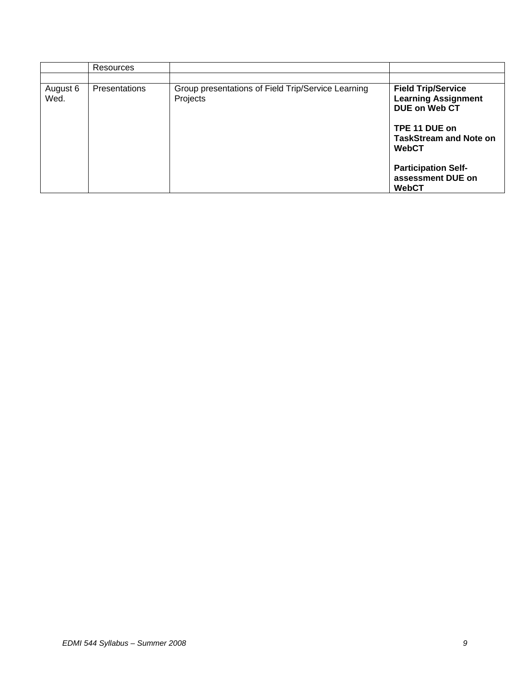|                  | Resources            |                                                                |                                                                          |
|------------------|----------------------|----------------------------------------------------------------|--------------------------------------------------------------------------|
| August 6<br>Wed. | <b>Presentations</b> | Group presentations of Field Trip/Service Learning<br>Projects | <b>Field Trip/Service</b><br><b>Learning Assignment</b><br>DUE on Web CT |
|                  |                      |                                                                | TPE 11 DUE on<br><b>TaskStream and Note on</b><br><b>WebCT</b>           |
|                  |                      |                                                                | <b>Participation Self-</b><br>assessment DUE on<br><b>WebCT</b>          |